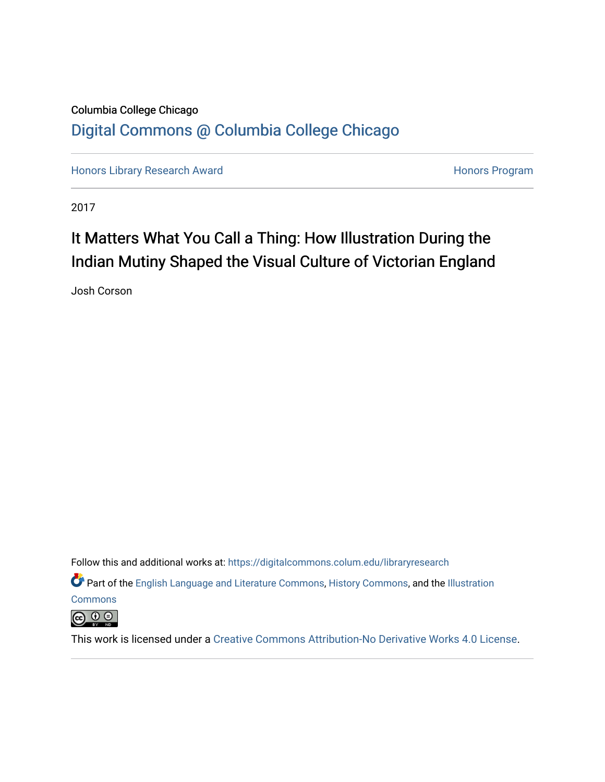# Columbia College Chicago [Digital Commons @ Columbia College Chicago](https://digitalcommons.colum.edu/)

[Honors Library Research Award](https://digitalcommons.colum.edu/libraryresearch) **Honors Program** Honors Program

2017

# It Matters What You Call a Thing: How Illustration During the Indian Mutiny Shaped the Visual Culture of Victorian England

Josh Corson

Follow this and additional works at: [https://digitalcommons.colum.edu/libraryresearch](https://digitalcommons.colum.edu/libraryresearch?utm_source=digitalcommons.colum.edu%2Flibraryresearch%2F2&utm_medium=PDF&utm_campaign=PDFCoverPages) 

Part of the [English Language and Literature Commons](http://network.bepress.com/hgg/discipline/455?utm_source=digitalcommons.colum.edu%2Flibraryresearch%2F2&utm_medium=PDF&utm_campaign=PDFCoverPages), [History Commons](http://network.bepress.com/hgg/discipline/489?utm_source=digitalcommons.colum.edu%2Flibraryresearch%2F2&utm_medium=PDF&utm_campaign=PDFCoverPages), and the [Illustration](http://network.bepress.com/hgg/discipline/1135?utm_source=digitalcommons.colum.edu%2Flibraryresearch%2F2&utm_medium=PDF&utm_campaign=PDFCoverPages)

**[Commons](http://network.bepress.com/hgg/discipline/1135?utm_source=digitalcommons.colum.edu%2Flibraryresearch%2F2&utm_medium=PDF&utm_campaign=PDFCoverPages)** 



This work is licensed under a [Creative Commons Attribution-No Derivative Works 4.0 License.](https://creativecommons.org/licenses/by-nd/4.0/)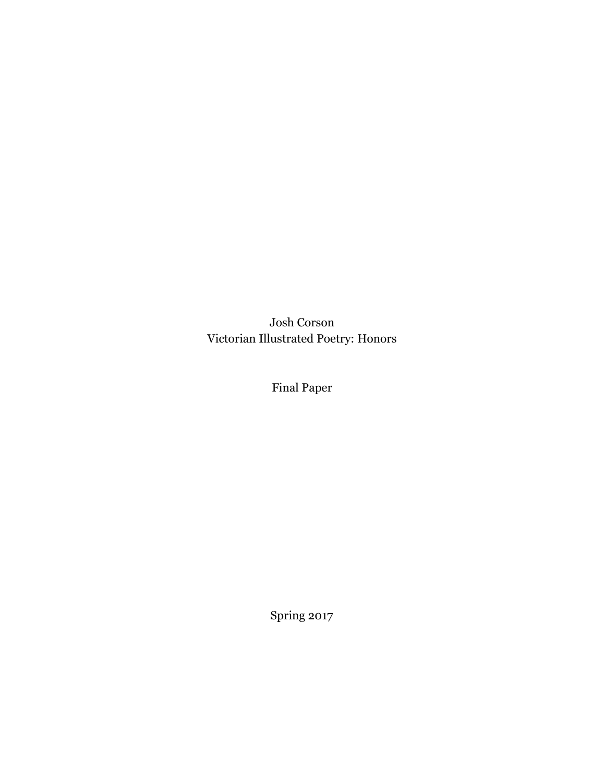Josh Corson Victorian Illustrated Poetry: Honors

Final Paper

Spring 2017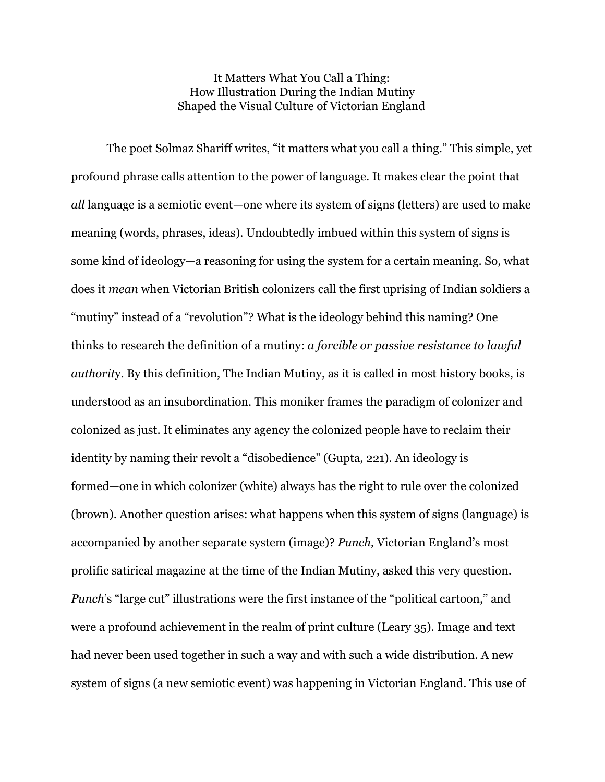## It Matters What You Call a Thing: How Illustration During the Indian Mutiny Shaped the Visual Culture of Victorian England

The poet Solmaz Shariff writes, "it matters what you call a thing." This simple, yet profound phrase calls attention to the power of language. It makes clear the point that *all* language is a semiotic event—one where its system of signs (letters) are used to make meaning (words, phrases, ideas). Undoubtedly imbued within this system of signs is some kind of ideology—a reasoning for using the system for a certain meaning. So, what does it *mean* when Victorian British colonizers call the first uprising of Indian soldiers a "mutiny" instead of a "revolution"? What is the ideology behind this naming? One thinks to research the definition of a mutiny: *a forcible or passive resistance to lawful authorit*y. By this definition, The Indian Mutiny, as it is called in most history books, is understood as an insubordination. This moniker frames the paradigm of colonizer and colonized as just. It eliminates any agency the colonized people have to reclaim their identity by naming their revolt a "disobedience" (Gupta, 221). An ideology is formed—one in which colonizer (white) always has the right to rule over the colonized (brown). Another question arises: what happens when this system of signs (language) is accompanied by another separate system (image)? *Punch,* Victorian England's most prolific satirical magazine at the time of the Indian Mutiny, asked this very question. *Punch*'s "large cut" illustrations were the first instance of the "political cartoon," and were a profound achievement in the realm of print culture (Leary 35). Image and text had never been used together in such a way and with such a wide distribution. A new system of signs (a new semiotic event) was happening in Victorian England. This use of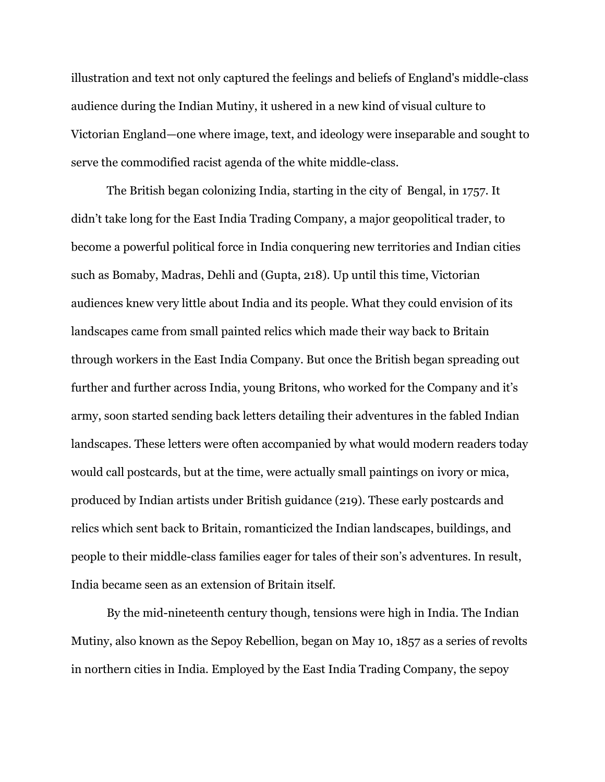illustration and text not only captured the feelings and beliefs of England's middle-class audience during the Indian Mutiny, it ushered in a new kind of visual culture to Victorian England—one where image, text, and ideology were inseparable and sought to serve the commodified racist agenda of the white middle-class.

The British began colonizing India, starting in the city of Bengal, in 1757. It didn't take long for the East India Trading Company, a major geopolitical trader, to become a powerful political force in India conquering new territories and Indian cities such as Bomaby, Madras, Dehli and (Gupta, 218). Up until this time, Victorian audiences knew very little about India and its people. What they could envision of its landscapes came from small painted relics which made their way back to Britain through workers in the East India Company. But once the British began spreading out further and further across India, young Britons, who worked for the Company and it's army, soon started sending back letters detailing their adventures in the fabled Indian landscapes. These letters were often accompanied by what would modern readers today would call postcards, but at the time, were actually small paintings on ivory or mica, produced by Indian artists under British guidance (219). These early postcards and relics which sent back to Britain, romanticized the Indian landscapes, buildings, and people to their middle-class families eager for tales of their son's adventures. In result, India became seen as an extension of Britain itself.

By the mid-nineteenth century though, tensions were high in India. The Indian Mutiny, also known as the Sepoy Rebellion, began on May 10, 1857 as a series of revolts in northern cities in India. Employed by the East India Trading Company, the sepoy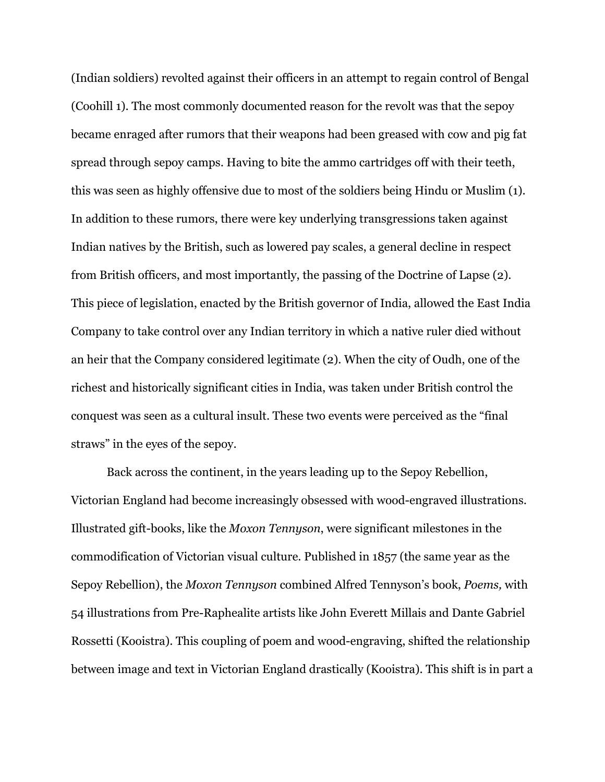(Indian soldiers) revolted against their officers in an attempt to regain control of Bengal (Coohill 1). The most commonly documented reason for the revolt was that the sepoy became enraged after rumors that their weapons had been greased with cow and pig fat spread through sepoy camps. Having to bite the ammo cartridges off with their teeth, this was seen as highly offensive due to most of the soldiers being Hindu or Muslim (1). In addition to these rumors, there were key underlying transgressions taken against Indian natives by the British, such as lowered pay scales, a general decline in respect from British officers, and most importantly, the passing of the Doctrine of Lapse (2). This piece of legislation, enacted by the British governor of India, allowed the East India Company to take control over any Indian territory in which a native ruler died without an heir that the Company considered legitimate (2). When the city of Oudh, one of the richest and historically significant cities in India, was taken under British control the conquest was seen as a cultural insult. These two events were perceived as the "final straws" in the eyes of the sepoy.

Back across the continent, in the years leading up to the Sepoy Rebellion, Victorian England had become increasingly obsessed with wood-engraved illustrations. Illustrated gift-books, like the *Moxon Tennyson*, were significant milestones in the commodification of Victorian visual culture. Published in 1857 (the same year as the Sepoy Rebellion), the *Moxon Tennyson* combined Alfred Tennyson's book, *Poems,* with 54 illustrations from Pre-Raphealite artists like John Everett Millais and Dante Gabriel Rossetti (Kooistra). This coupling of poem and wood-engraving, shifted the relationship between image and text in Victorian England drastically (Kooistra). This shift is in part a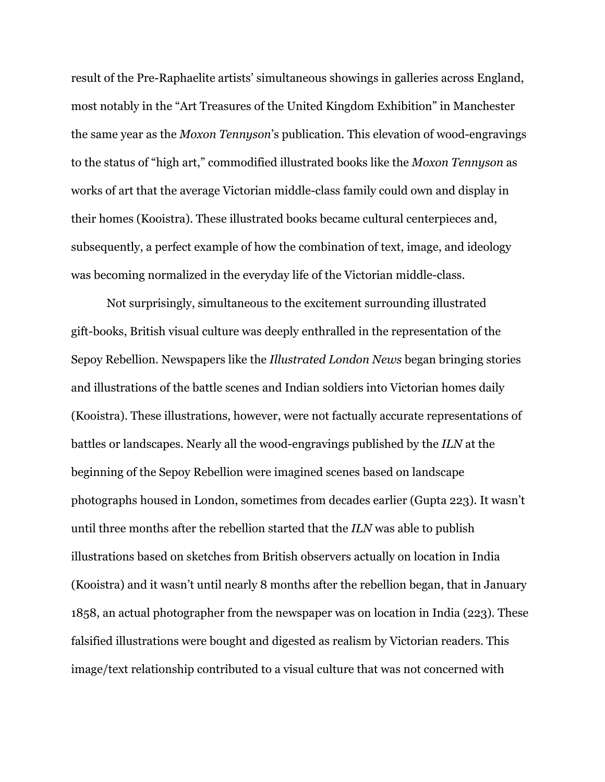result of the Pre-Raphaelite artists' simultaneous showings in galleries across England, most notably in the "Art Treasures of the United Kingdom Exhibition" in Manchester the same year as the *Moxon Tennyson*'s publication. This elevation of wood-engravings to the status of "high art," commodified illustrated books like the *Moxon Tennyson* as works of art that the average Victorian middle-class family could own and display in their homes (Kooistra). These illustrated books became cultural centerpieces and, subsequently, a perfect example of how the combination of text, image, and ideology was becoming normalized in the everyday life of the Victorian middle-class.

Not surprisingly, simultaneous to the excitement surrounding illustrated gift-books, British visual culture was deeply enthralled in the representation of the Sepoy Rebellion. Newspapers like the *Illustrated London News* began bringing stories and illustrations of the battle scenes and Indian soldiers into Victorian homes daily (Kooistra). These illustrations, however, were not factually accurate representations of battles or landscapes. Nearly all the wood-engravings published by the *ILN* at the beginning of the Sepoy Rebellion were imagined scenes based on landscape photographs housed in London, sometimes from decades earlier (Gupta 223). It wasn't until three months after the rebellion started that the *ILN* was able to publish illustrations based on sketches from British observers actually on location in India (Kooistra) and it wasn't until nearly 8 months after the rebellion began, that in January 1858, an actual photographer from the newspaper was on location in India (223). These falsified illustrations were bought and digested as realism by Victorian readers. This image/text relationship contributed to a visual culture that was not concerned with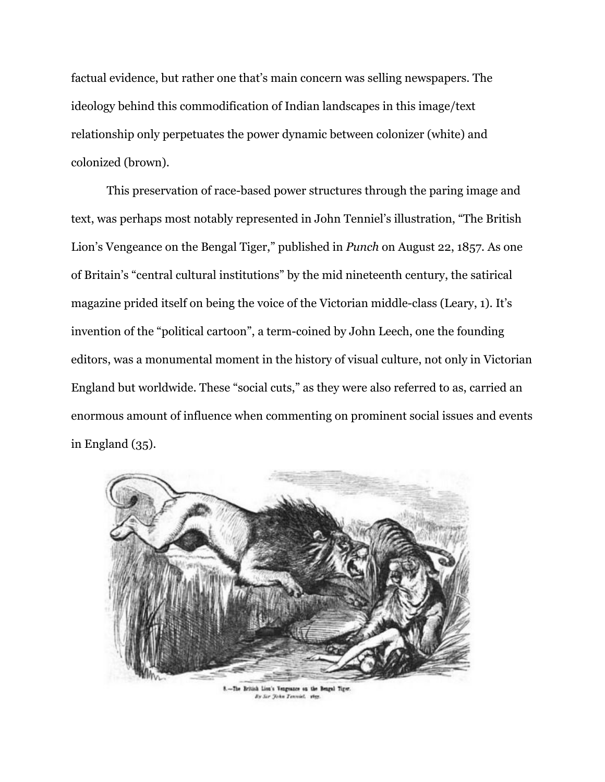factual evidence, but rather one that's main concern was selling newspapers. The ideology behind this commodification of Indian landscapes in this image/text relationship only perpetuates the power dynamic between colonizer (white) and colonized (brown).

This preservation of race-based power structures through the paring image and text, was perhaps most notably represented in John Tenniel's illustration, "The British Lion's Vengeance on the Bengal Tiger," published in *Punch* on August 22, 1857*.* As one of Britain's "central cultural institutions" by the mid nineteenth century, the satirical magazine prided itself on being the voice of the Victorian middle-class (Leary, 1). It's invention of the "political cartoon", a term-coined by John Leech, one the founding editors, was a monumental moment in the history of visual culture, not only in Victorian England but worldwide. These "social cuts," as they were also referred to as, carried an enormous amount of influence when commenting on prominent social issues and events in England (35).



8 .- The British Lion's Vengeance on the Bengal Tiger By Sir John Tenniel, vice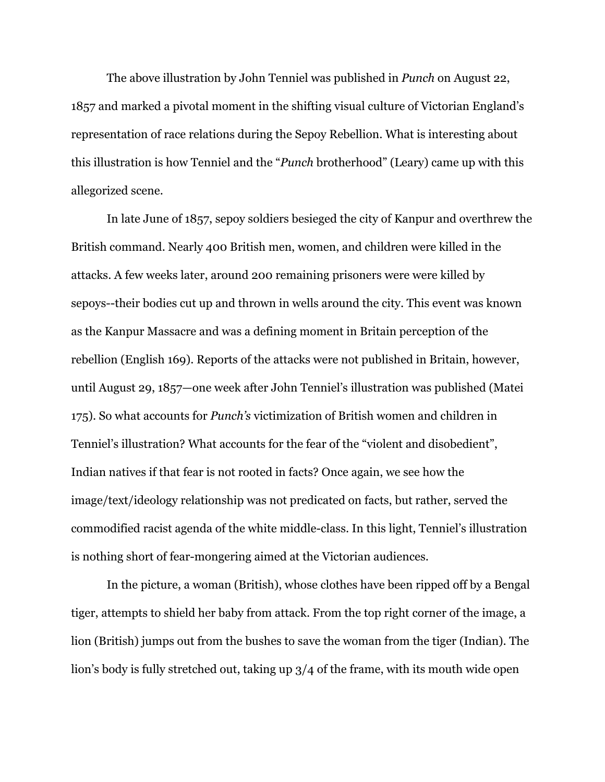The above illustration by John Tenniel was published in *Punch* on August 22, 1857 and marked a pivotal moment in the shifting visual culture of Victorian England's representation of race relations during the Sepoy Rebellion. What is interesting about this illustration is how Tenniel and the "*Punch* brotherhood" (Leary) came up with this allegorized scene.

In late June of 1857, sepoy soldiers besieged the city of Kanpur and overthrew the British command. Nearly 400 British men, women, and children were killed in the attacks. A few weeks later, around 200 remaining prisoners were were killed by sepoys--their bodies cut up and thrown in wells around the city. This event was known as the Kanpur Massacre and was a defining moment in Britain perception of the rebellion (English 169). Reports of the attacks were not published in Britain, however, until August 29, 1857—one week after John Tenniel's illustration was published (Matei 175). So what accounts for *Punch's* victimization of British women and children in Tenniel's illustration? What accounts for the fear of the "violent and disobedient", Indian natives if that fear is not rooted in facts? Once again, we see how the image/text/ideology relationship was not predicated on facts, but rather, served the commodified racist agenda of the white middle-class. In this light, Tenniel's illustration is nothing short of fear-mongering aimed at the Victorian audiences.

In the picture, a woman (British), whose clothes have been ripped off by a Bengal tiger, attempts to shield her baby from attack. From the top right corner of the image, a lion (British) jumps out from the bushes to save the woman from the tiger (Indian). The lion's body is fully stretched out, taking up 3/4 of the frame, with its mouth wide open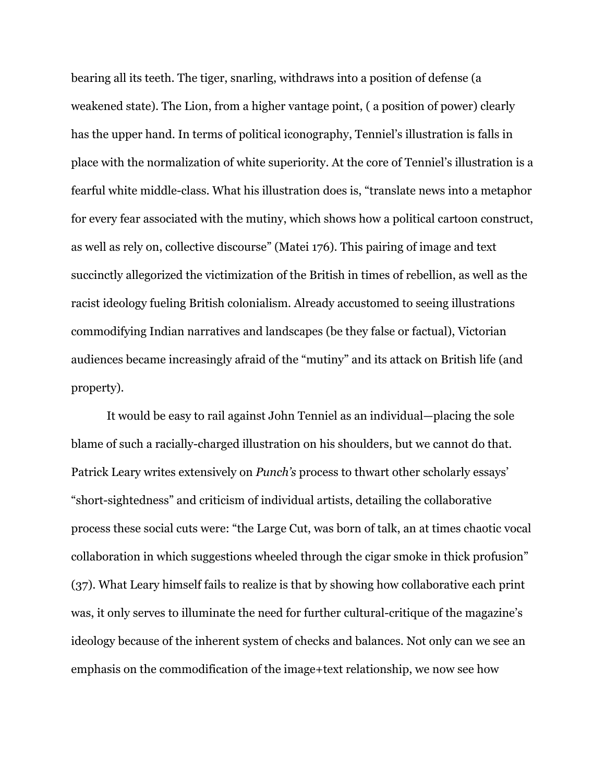bearing all its teeth. The tiger, snarling, withdraws into a position of defense (a weakened state). The Lion, from a higher vantage point, ( a position of power) clearly has the upper hand. In terms of political iconography, Tenniel's illustration is falls in place with the normalization of white superiority. At the core of Tenniel's illustration is a fearful white middle-class. What his illustration does is, "translate news into a metaphor for every fear associated with the mutiny, which shows how a political cartoon construct, as well as rely on, collective discourse" (Matei 176). This pairing of image and text succinctly allegorized the victimization of the British in times of rebellion, as well as the racist ideology fueling British colonialism. Already accustomed to seeing illustrations commodifying Indian narratives and landscapes (be they false or factual), Victorian audiences became increasingly afraid of the "mutiny" and its attack on British life (and property).

It would be easy to rail against John Tenniel as an individual—placing the sole blame of such a racially-charged illustration on his shoulders, but we cannot do that. Patrick Leary writes extensively on *Punch's* process to thwart other scholarly essays' "short-sightedness" and criticism of individual artists, detailing the collaborative process these social cuts were: "the Large Cut, was born of talk, an at times chaotic vocal collaboration in which suggestions wheeled through the cigar smoke in thick profusion" (37). What Leary himself fails to realize is that by showing how collaborative each print was, it only serves to illuminate the need for further cultural-critique of the magazine's ideology because of the inherent system of checks and balances. Not only can we see an emphasis on the commodification of the image+text relationship, we now see how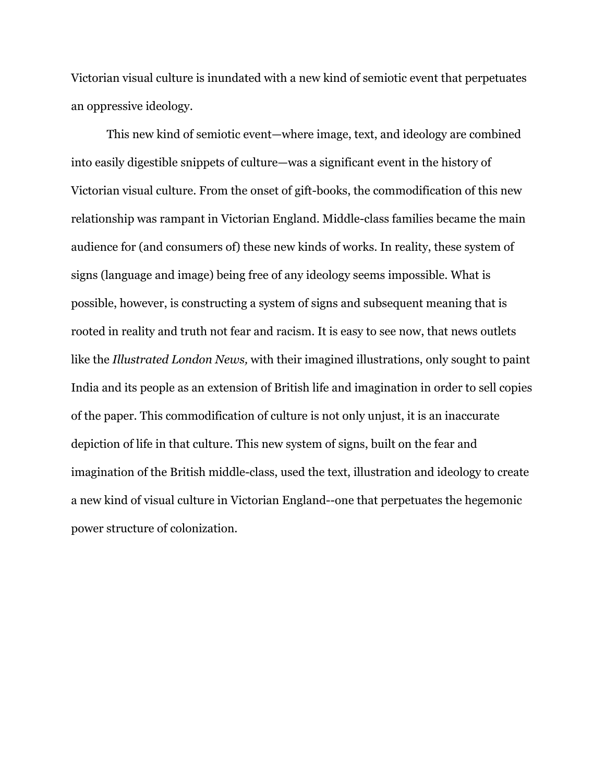Victorian visual culture is inundated with a new kind of semiotic event that perpetuates an oppressive ideology.

This new kind of semiotic event—where image, text, and ideology are combined into easily digestible snippets of culture—was a significant event in the history of Victorian visual culture. From the onset of gift-books, the commodification of this new relationship was rampant in Victorian England. Middle-class families became the main audience for (and consumers of) these new kinds of works. In reality, these system of signs (language and image) being free of any ideology seems impossible. What is possible, however, is constructing a system of signs and subsequent meaning that is rooted in reality and truth not fear and racism. It is easy to see now, that news outlets like the *Illustrated London News,* with their imagined illustrations, only sought to paint India and its people as an extension of British life and imagination in order to sell copies of the paper. This commodification of culture is not only unjust, it is an inaccurate depiction of life in that culture. This new system of signs, built on the fear and imagination of the British middle-class, used the text, illustration and ideology to create a new kind of visual culture in Victorian England--one that perpetuates the hegemonic power structure of colonization.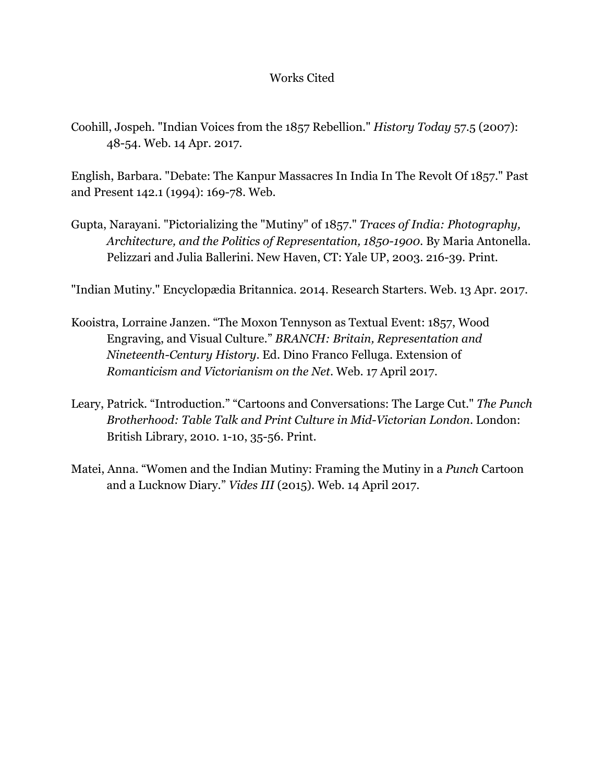# Works Cited

Coohill, Jospeh. "Indian Voices from the 1857 Rebellion." *History Today* 57.5 (2007): 48-54. Web. 14 Apr. 2017.

English, Barbara. "Debate: The Kanpur Massacres In India In The Revolt Of 1857." Past and Present 142.1 (1994): 169-78. Web.

Gupta, Narayani. "Pictorializing the "Mutiny" of 1857." *Traces of India: Photography, Architecture, and the Politics of Representation, 1850-1900.* By Maria Antonella. Pelizzari and Julia Ballerini. New Haven, CT: Yale UP, 2003. 216-39. Print.

"Indian Mutiny." Encyclopædia Britannica. 2014. Research Starters. Web. 13 Apr. 2017.

- Kooistra, Lorraine Janzen. "The Moxon Tennyson as Textual Event: 1857, Wood Engraving, and Visual Culture." *BRANCH: Britain, Representation and Nineteenth-Century History*. Ed. Dino Franco Felluga. Extension of *Romanticism and Victorianism on the Net*. Web. 17 April 2017.
- Leary, Patrick. "Introduction." "Cartoons and Conversations: The Large Cut." *The Punch Brotherhood: Table Talk and Print Culture in Mid-Victorian London*. London: British Library, 2010. 1-10, 35-56. Print.
- Matei, Anna. "Women and the Indian Mutiny: Framing the Mutiny in a *Punch* Cartoon and a Lucknow Diary." *Vides III* (2015). Web. 14 April 2017.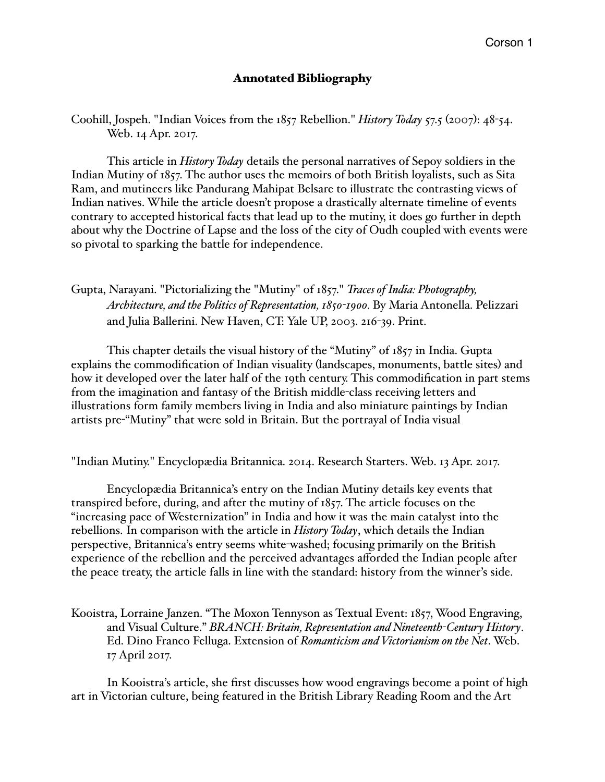## Annotated Bibliography

Coohill, Jospeh. "Indian Voices from the 1857 Rebellion." *History Today* 57.5 (2007): 48-54. Web. 14 Apr. 2017.

This article in *History Today* details the personal narratives of Sepoy soldiers in the Indian Mutiny of 1857. The author uses the memoirs of both British loyalists, such as Sita Ram, and mutineers like Pandurang Mahipat Belsare to illustrate the contrasting views of Indian natives. While the article doesn't propose a drastically alternate timeline of events contrary to accepted historical facts that lead up to the mutiny, it does go further in depth about why the Doctrine of Lapse and the loss of the city of Oudh coupled with events were so pivotal to sparking the battle for independence.

Gupta, Narayani. "Pictorializing the "Mutiny" of 1857." *Traces of India: Photography, Architecture, and the Politics of Representation, 1850-1900.* By Maria Antonella. Pelizzari and Julia Ballerini. New Haven, CT: Yale UP, 2003. 216-39. Print.

This chapter details the visual history of the "Mutiny" of 1857 in India. Gupta explains the commodification of Indian visuality (landscapes, monuments, battle sites) and how it developed over the later half of the 19th century. This commodification in part stems from the imagination and fantasy of the British middle-class receiving letters and illustrations form family members living in India and also miniature paintings by Indian artists pre-"Mutiny" that were sold in Britain. But the portrayal of India visual

"Indian Mutiny." Encyclopædia Britannica. 2014. Research Starters. Web. 13 Apr. 2017.

Encyclopædia Britannica's entry on the Indian Mutiny details key events that transpired before, during, and after the mutiny of 1857. The article focuses on the "increasing pace of Westernization" in India and how it was the main catalyst into the rebellions. In comparison with the article in *History Today*, which details the Indian perspective, Britannica's entry seems white-washed; focusing primarily on the British experience of the rebellion and the perceived advantages afforded the Indian people after the peace treaty, the article falls in line with the standard: history from the winner's side.

Kooistra, Lorraine Janzen. "The Moxon Tennyson as Textual Event: 1857, Wood Engraving, and Visual Culture." *BRANCH: Britain, Representation and Nineteenth-Century History*. Ed. Dino Franco Felluga. Extension of *Romanticism and Victorianism on the Net*. Web. 17 April 2017.

In Kooistra's article, she first discusses how wood engravings become a point of high art in Victorian culture, being featured in the British Library Reading Room and the Art